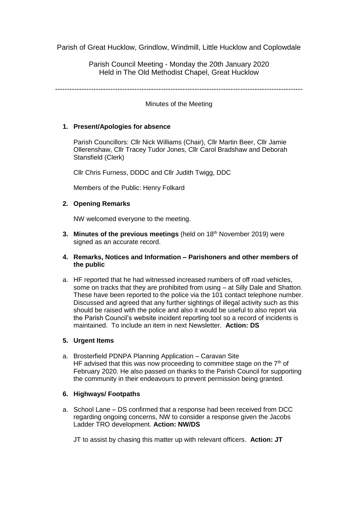Parish of Great Hucklow, Grindlow, Windmill, Little Hucklow and Coplowdale

Parish Council Meeting - Monday the 20th January 2020 Held in The Old Methodist Chapel, Great Hucklow

-------------------------------------------------------------------------------------------------------

Minutes of the Meeting

# **1. Present/Apologies for absence**

Parish Councillors: Cllr Nick Williams (Chair), Cllr Martin Beer, Cllr Jamie Ollerenshaw, Cllr Tracey Tudor Jones, Cllr Carol Bradshaw and Deborah Stansfield (Clerk)

Cllr Chris Furness, DDDC and Cllr Judith Twigg, DDC

Members of the Public: Henry Folkard

## **2. Opening Remarks**

NW welcomed everyone to the meeting.

**3. Minutes of the previous meetings** (held on 18 th November 2019) were signed as an accurate record.

## **4. Remarks, Notices and Information – Parishoners and other members of the public**

a. HF reported that he had witnessed increased numbers of off road vehicles, some on tracks that they are prohibited from using – at Silly Dale and Shatton. These have been reported to the police via the 101 contact telephone number. Discussed and agreed that any further sightings of illegal activity such as this should be raised with the police and also it would be useful to also report via the Parish Council's website incident reporting tool so a record of incidents is maintained. To include an item in next Newsletter. **Action: DS**

# **5. Urgent Items**

a. Brosterfield PDNPA Planning Application – Caravan Site HF advised that this was now proceeding to committee stage on the  $7<sup>th</sup>$  of February 2020. He also passed on thanks to the Parish Council for supporting the community in their endeavours to prevent permission being granted.

## **6. Highways/ Footpaths**

a. School Lane – DS confirmed that a response had been received from DCC regarding ongoing concerns, NW to consider a response given the Jacobs Ladder TRO development. **Action: NW/DS**

JT to assist by chasing this matter up with relevant officers. **Action: JT**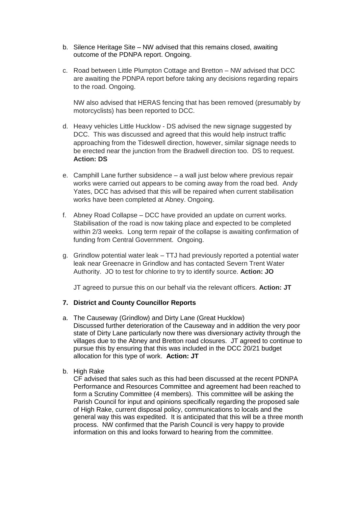- b. Silence Heritage Site NW advised that this remains closed, awaiting outcome of the PDNPA report. Ongoing.
- c. Road between Little Plumpton Cottage and Bretton NW advised that DCC are awaiting the PDNPA report before taking any decisions regarding repairs to the road. Ongoing.

NW also advised that HERAS fencing that has been removed (presumably by motorcyclists) has been reported to DCC.

- d. Heavy vehicles Little Hucklow DS advised the new signage suggested by DCC. This was discussed and agreed that this would help instruct traffic approaching from the Tideswell direction, however, similar signage needs to be erected near the junction from the Bradwell direction too. DS to request. **Action: DS**
- e. Camphill Lane further subsidence a wall just below where previous repair works were carried out appears to be coming away from the road bed. Andy Yates, DCC has advised that this will be repaired when current stabilisation works have been completed at Abney. Ongoing.
- f. Abney Road Collapse DCC have provided an update on current works. Stabilisation of the road is now taking place and expected to be completed within 2/3 weeks. Long term repair of the collapse is awaiting confirmation of funding from Central Government. Ongoing.
- g. Grindlow potential water leak TTJ had previously reported a potential water leak near Greenacre in Grindlow and has contacted Severn Trent Water Authority. JO to test for chlorine to try to identify source. **Action: JO**

JT agreed to pursue this on our behalf via the relevant officers. **Action: JT**

## **7. District and County Councillor Reports**

- a. The Causeway (Grindlow) and Dirty Lane (Great Hucklow) Discussed further deterioration of the Causeway and in addition the very poor state of Dirty Lane particularly now there was diversionary activity through the villages due to the Abney and Bretton road closures. JT agreed to continue to pursue this by ensuring that this was included in the DCC 20/21 budget allocation for this type of work. **Action: JT**
- b. High Rake

CF advised that sales such as this had been discussed at the recent PDNPA Performance and Resources Committee and agreement had been reached to form a Scrutiny Committee (4 members). This committee will be asking the Parish Council for input and opinions specifically regarding the proposed sale of High Rake, current disposal policy, communications to locals and the general way this was expedited. It is anticipated that this will be a three month process. NW confirmed that the Parish Council is very happy to provide information on this and looks forward to hearing from the committee.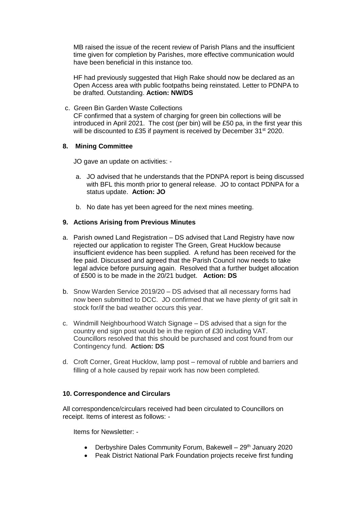MB raised the issue of the recent review of Parish Plans and the insufficient time given for completion by Parishes, more effective communication would have been beneficial in this instance too.

HF had previously suggested that High Rake should now be declared as an Open Access area with public footpaths being reinstated. Letter to PDNPA to be drafted. Outstanding. **Action: NW/DS**

c. Green Bin Garden Waste Collections CF confirmed that a system of charging for green bin collections will be introduced in April 2021. The cost (per bin) will be £50 pa, in the first year this will be discounted to £35 if payment is received by December 31<sup>st</sup> 2020.

## **8. Mining Committee**

JO gave an update on activities: -

- a. JO advised that he understands that the PDNPA report is being discussed with BFL this month prior to general release. JO to contact PDNPA for a status update. **Action: JO**
- b. No date has yet been agreed for the next mines meeting.

## **9. Actions Arising from Previous Minutes**

- a. Parish owned Land Registration DS advised that Land Registry have now rejected our application to register The Green, Great Hucklow because insufficient evidence has been supplied. A refund has been received for the fee paid. Discussed and agreed that the Parish Council now needs to take legal advice before pursuing again. Resolved that a further budget allocation of £500 is to be made in the 20/21 budget. **Action: DS**
- b. Snow Warden Service 2019/20 DS advised that all necessary forms had now been submitted to DCC. JO confirmed that we have plenty of grit salt in stock for/if the bad weather occurs this year.
- c. Windmill Neighbourhood Watch Signage DS advised that a sign for the country end sign post would be in the region of £30 including VAT. Councillors resolved that this should be purchased and cost found from our Contingency fund. **Action: DS**
- d. Croft Corner, Great Hucklow, lamp post removal of rubble and barriers and filling of a hole caused by repair work has now been completed.

#### **10. Correspondence and Circulars**

All correspondence/circulars received had been circulated to Councillors on receipt. Items of interest as follows: -

Items for Newsletter: -

- Derbyshire Dales Community Forum, Bakewell  $29<sup>th</sup>$  January 2020
- Peak District National Park Foundation projects receive first funding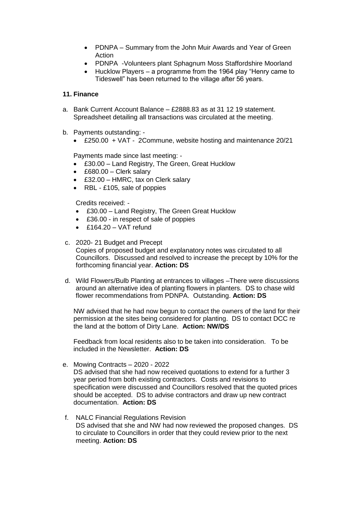- PDNPA Summary from the John Muir Awards and Year of Green Action
- PDNPA -Volunteers plant Sphagnum Moss Staffordshire Moorland
- Hucklow Players a programme from the 1964 play "Henry came to Tideswell" has been returned to the village after 56 years.

## **11. Finance**

- a. Bank Current Account Balance £2888.83 as at 31 12 19 statement. Spreadsheet detailing all transactions was circulated at the meeting.
- b. Payments outstanding:
	- £250.00 + VAT 2Commune, website hosting and maintenance 20/21

Payments made since last meeting: -

- £30.00 Land Registry, The Green, Great Hucklow
- £680.00 Clerk salary
- £32.00 HMRC, tax on Clerk salary
- RBL £105, sale of poppies

Credits received: -

- £30.00 Land Registry, The Green Great Hucklow
- £36.00 in respect of sale of poppies
- £164.20 VAT refund
- c. 2020- 21 Budget and Precept Copies of proposed budget and explanatory notes was circulated to all Councillors. Discussed and resolved to increase the precept by 10% for the forthcoming financial year. **Action: DS**
- d. Wild Flowers/Bulb Planting at entrances to villages –There were discussions around an alternative idea of planting flowers in planters. DS to chase wild flower recommendations from PDNPA. Outstanding. **Action: DS**

NW advised that he had now begun to contact the owners of the land for their permission at the sites being considered for planting. DS to contact DCC re the land at the bottom of Dirty Lane. **Action: NW/DS**

Feedback from local residents also to be taken into consideration. To be included in the Newsletter. **Action: DS**

e. Mowing Contracts – 2020 - 2022

DS advised that she had now received quotations to extend for a further 3 year period from both existing contractors. Costs and revisions to specification were discussed and Councillors resolved that the quoted prices should be accepted. DS to advise contractors and draw up new contract documentation. **Action: DS**

f. NALC Financial Regulations Revision DS advised that she and NW had now reviewed the proposed changes. DS to circulate to Councillors in order that they could review prior to the next meeting. **Action: DS**